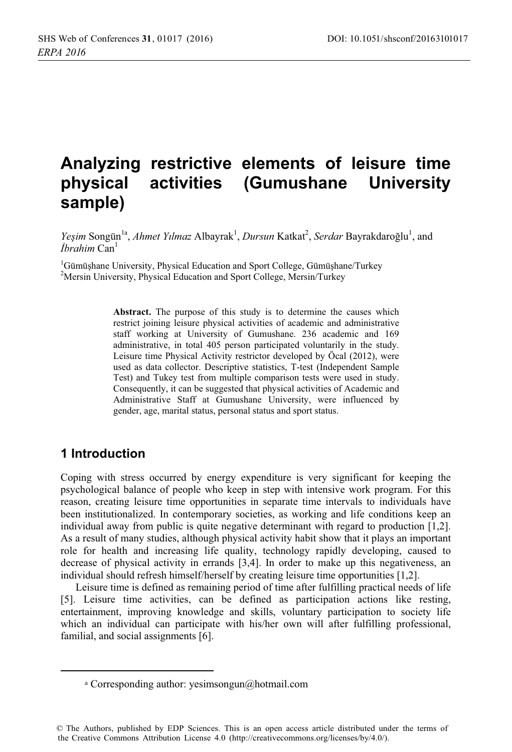# Analyzing restrictive elements of leisure time physical activities (Gumushane University sample)

Yeşim Songün<sup>1a</sup>, Ahmet Yılmaz Albayrak<sup>1</sup>, Dursun Katkat<sup>2</sup>, Serdar Bayrakdaroğlu<sup>1</sup>, and  $Ih$ rahim Can<sup>1</sup>

<sup>1</sup>Gümüşhane University, Physical Education and Sport College, Gümüşhane/Turkey <sup>2</sup>Mersin University, Physical Education and Sport College, Mersin/Turkey

> Abstract. The purpose of this study is to determine the causes which restrict joining leisure physical activities of academic and administrative staff working at University of Gumushane. 236 academic and 169 administrative, in total 405 person participated voluntarily in the study. Leisure time Physical Activity restrictor developed by Öcal (2012), were used as data collector. Descriptive statistics, T-test (Independent Sample Test) and Tukey test from multiple comparison tests were used in study. Consequently, it can be suggested that physical activities of Academic and Administrative Staff at Gumushane University, were influenced by gender, age, marital status, personal status and sport status.

# 1 Introduction

Coping with stress occurred by energy expenditure is very significant for keeping the psychological balance of people who keep in step with intensive work program. For this reason, creating leisure time opportunities in separate time intervals to individuals have been institutionalized. In contemporary societies, as working and life conditions keep an individual away from public is quite negative determinant with regard to production  $[1,2]$ . As a result of many studies, although physical activity habit show that it plays an important role for health and increasing life quality, technology rapidly developing, caused to decrease of physical activity in errands [3,4]. In order to make up this negativeness, an individual should refresh himself/herself by creating leisure time opportunities [1,2].

Leisure time is defined as remaining period of time after fulfilling practical needs of life [5]. Leisure time activities, can be defined as participation actions like resting, entertainment, improving knowledge and skills, voluntary participation to society life which an individual can participate with his/her own will after fulfilling professional, familial, and social assignments [6].

<sup>&</sup>lt;sup>a</sup> Corresponding author: yesimsongun@hotmail.com

<sup>©</sup> The Authors, published by EDP Sciences. This is an open access article distributed under the terms of the Creative Commons Attribution License 4.0 (http://creativecommons.org/licenses/by/4.0/).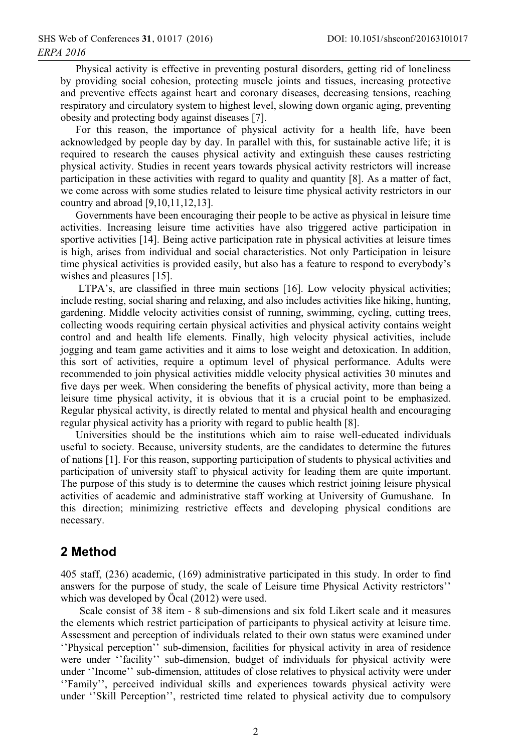Physical activity is effective in preventing postural disorders, getting rid of loneliness by providing social cohesion, protecting muscle joints and tissues, increasing protective and preventive effects against heart and coronary diseases, decreasing tensions, reaching respiratory and circulatory system to highest level, slowing down organic aging, preventing obesity and protecting body against diseases [7].

For this reason, the importance of physical activity for a health life, have been acknowledged by people day by day. In parallel with this, for sustainable active life; it is required to research the causes physical activity and extinguish these causes restricting physical activity. Studies in recent years towards physical activity restrictors will increase participation in these activities with regard to quality and quantity [8]. As a matter of fact, we come across with some studies related to leisure time physical activity restrictors in our country and abroad [9,10,11,12,13].

Governments have been encouraging their people to be active as physical in leisure time activities. Increasing leisure time activities have also triggered active participation in sportive activities [14]. Being active participation rate in physical activities at leisure times is high, arises from individual and social characteristics. Not only Participation in leisure time physical activities is provided easily, but also has a feature to respond to everybody's wishes and pleasures [15].

LTPA's, are classified in three main sections [16]. Low velocity physical activities; include resting, social sharing and relaxing, and also includes activities like hiking, hunting, gardening. Middle velocity activities consist of running, swimming, cycling, cutting trees, collecting woods requiring certain physical activities and physical activity contains weight control and and health life elements. Finally, high velocity physical activities, include jogging and team game activities and it aims to lose weight and detoxication. In addition, this sort of activities, require a optimum level of physical performance. Adults were recommended to join physical activities middle velocity physical activities 30 minutes and five days per week. When considering the benefits of physical activity, more than being a leisure time physical activity, it is obvious that it is a crucial point to be emphasized. Regular physical activity, is directly related to mental and physical health and encouraging regular physical activity has a priority with regard to public health [8].

Universities should be the institutions which aim to raise well-educated individuals useful to society. Because, university students, are the candidates to determine the futures of nations [1]. For this reason, supporting participation of students to physical activities and participation of university staff to physical activity for leading them are quite important. The purpose of this study is to determine the causes which restrict joining leisure physical activities of academic and administrative staff working at University of Gumushane. In this direction; minimizing restrictive effects and developing physical conditions are necessary.

# 2 Method

405 staff, (236) academic, (169) administrative participated in this study. In order to find answers for the purpose of study, the scale of Leisure time Physical Activity restrictors" which was developed by Öcal (2012) were used.

Scale consist of 38 item - 8 sub-dimensions and six fold Likert scale and it measures the elements which restrict participation of participants to physical activity at leisure time. Assessment and perception of individuals related to their own status were examined under "Physical perception" sub-dimension, facilities for physical activity in area of residence were under "facility" sub-dimension, budget of individuals for physical activity were under "Income" sub-dimension, attitudes of close relatives to physical activity were under "Family", perceived individual skills and experiences towards physical activity were under "Skill Perception", restricted time related to physical activity due to compulsory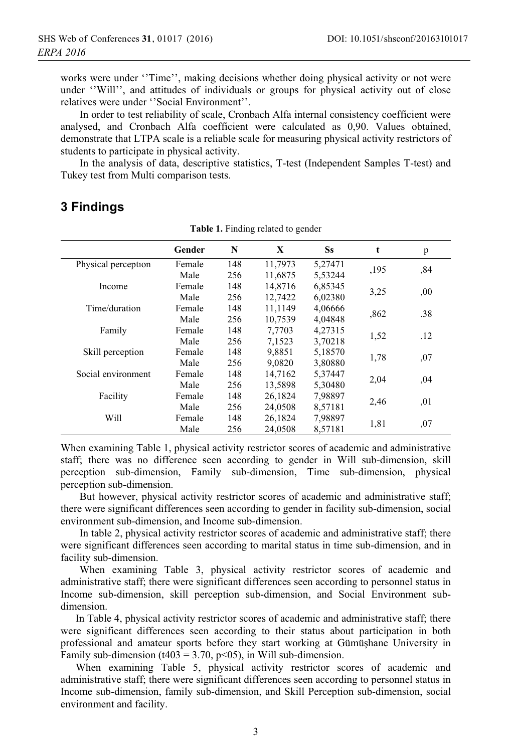works were under "Time", making decisions whether doing physical activity or not were under "Will", and attitudes of individuals or groups for physical activity out of close relatives were under "Social Environment".

In order to test reliability of scale, Cronbach Alfa internal consistency coefficient were analysed, and Cronbach Alfa coefficient were calculated as 0,90. Values obtained, demonstrate that LTPA scale is a reliable scale for measuring physical activity restrictors of students to participate in physical activity.

In the analysis of data, descriptive statistics, T-test (Independent Samples T-test) and Tukey test from Multi comparison tests.

#### **3 Findings**

|                     | Gender | N   | X       | Ss      | $\mathbf t$ | p    |
|---------------------|--------|-----|---------|---------|-------------|------|
| Physical perception | Female | 148 | 11,7973 | 5,27471 |             |      |
|                     | Male   | 256 | 11,6875 | 5,53244 | ,195        | ,84  |
| Income              | Female | 148 | 14,8716 | 6,85345 |             |      |
|                     | Male   | 256 | 12,7422 | 6,02380 | 3,25        | ,00  |
| Time/duration       | Female | 148 | 11,1149 | 4,06666 |             | .38  |
|                     | Male   | 256 | 10,7539 | 4.04848 | ,862        |      |
| Family              | Female | 148 | 7,7703  | 4,27315 |             |      |
|                     | Male   | 256 | 7,1523  | 3,70218 | 1,52        | .12  |
| Skill perception    | Female | 148 | 9,8851  | 5,18570 |             |      |
|                     | Male   | 256 | 9,0820  | 3,80880 | 1,78        | ,07  |
| Social environment  | Female | 148 | 14,7162 | 5,37447 | 2,04        |      |
|                     | Male   | 256 | 13,5898 | 5,30480 |             | .04  |
| Facility            | Female | 148 | 26.1824 | 7,98897 | 2,46        |      |
|                     | Male   | 256 | 24,0508 | 8,57181 |             | , 01 |
| Will                | Female | 148 | 26,1824 | 7,98897 |             |      |
|                     | Male   | 256 | 24,0508 | 8,57181 | 1,81        | ,07  |

Table 1. Finding related to gender

When examining Table 1, physical activity restrictor scores of academic and administrative staff; there was no difference seen according to gender in Will sub-dimension, skill perception sub-dimension, Family sub-dimension, Time sub-dimension, physical perception sub-dimension.

But however, physical activity restrictor scores of academic and administrative staff; there were significant differences seen according to gender in facility sub-dimension, social environment sub-dimension, and Income sub-dimension.

In table 2, physical activity restrictor scores of academic and administrative staff; there were significant differences seen according to marital status in time sub-dimension, and in facility sub-dimension.

When examining Table 3, physical activity restrictor scores of academic and administrative staff; there were significant differences seen according to personnel status in Income sub-dimension, skill perception sub-dimension, and Social Environment subdimension.

In Table 4, physical activity restrictor scores of academic and administrative staff; there were significant differences seen according to their status about participation in both professional and amateur sports before they start working at Gümüşhane University in Family sub-dimension ( $t403 = 3.70$ ,  $p<05$ ), in Will sub-dimension.

When examining Table 5, physical activity restrictor scores of academic and administrative staff; there were significant differences seen according to personnel status in Income sub-dimension, family sub-dimension, and Skill Perception sub-dimension, social environment and facility.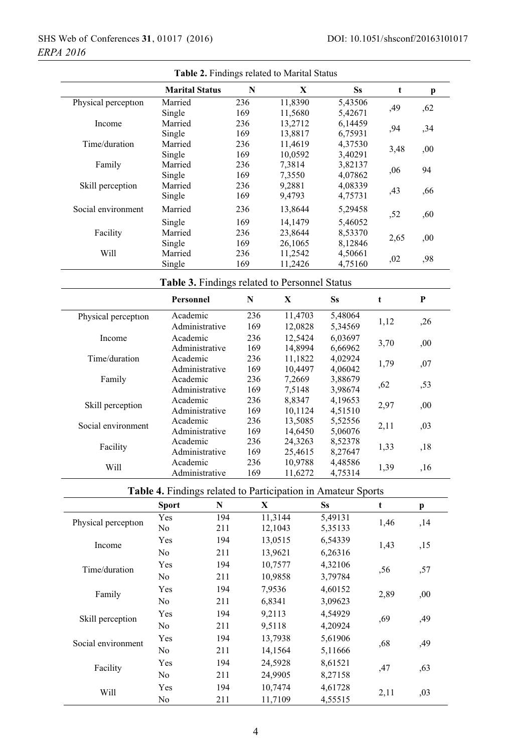| Table 2. Findings related to Marital Status |                       |                          |         |                                               |                                                              |      |      |  |
|---------------------------------------------|-----------------------|--------------------------|---------|-----------------------------------------------|--------------------------------------------------------------|------|------|--|
|                                             | <b>Marital Status</b> |                          | N       | X                                             | <b>Ss</b>                                                    | t    | p    |  |
| Physical perception                         | Married               |                          | 236     | 11,8390                                       | 5,43506                                                      | ,49  | ,62  |  |
|                                             | Single                |                          | 169     | 11,5680                                       | 5,42671                                                      |      |      |  |
| Income                                      | Married               |                          | 236     | 13,2712                                       | 6,14459                                                      | ,94  | , 34 |  |
|                                             | Single                |                          | 169     | 13,8817                                       | 6,75931                                                      |      |      |  |
| Time/duration                               | Married               |                          | 236     | 11,4619                                       | 4,37530                                                      | 3,48 | ,00  |  |
|                                             | Single                |                          | 169     | 10,0592                                       | 3,40291                                                      |      |      |  |
| Family                                      | Married               |                          | 236     | 7,3814                                        | 3,82137                                                      | ,06  | 94   |  |
|                                             | Single                |                          | 169     | 7,3550                                        | 4,07862                                                      |      |      |  |
| Skill perception                            | Married               |                          | 236     | 9,2881                                        | 4,08339                                                      | ,43  | ,66  |  |
|                                             | Single                |                          | 169     | 9,4793                                        | 4,75731                                                      |      |      |  |
| Social environment                          | Married               |                          | 236     | 13,8644                                       | 5,29458                                                      | ,52  | ,60  |  |
|                                             | Single                |                          | 169     | 14,1479                                       | 5,46052                                                      |      |      |  |
| Facility                                    | Married               |                          | 236     | 23,8644                                       | 8,53370                                                      | 2,65 | ,00  |  |
|                                             | Single                |                          | 169     | 26,1065                                       | 8,12846                                                      |      |      |  |
| Will                                        | Married               |                          | 236     | 11,2542                                       | 4,50661                                                      | ,02  | ,98  |  |
|                                             | Single                |                          | 169     | 11,2426                                       | 4,75160                                                      |      |      |  |
|                                             |                       |                          |         | Table 3. Findings related to Personnel Status |                                                              |      |      |  |
|                                             | Personnel             |                          | N       | $\mathbf X$                                   | Ss                                                           | t    | P    |  |
| Physical perception                         | Academic              |                          | 236     | 11,4703                                       | 5,48064                                                      |      |      |  |
|                                             | Administrative        |                          | 169     | 12,0828                                       | 5,34569                                                      | 1,12 | ,26  |  |
| Income                                      | Academic              |                          | 236     | 12,5424                                       | 6,03697                                                      |      |      |  |
|                                             | Administrative        |                          | 169     | 14,8994                                       | 6,66962                                                      | 3,70 | ,00  |  |
| Time/duration                               | Academic              |                          | 236     | 11,1822                                       | 4,02924                                                      |      |      |  |
|                                             | Administrative        |                          | 169     | 10,4497                                       | 4,06042                                                      | 1,79 | ,07  |  |
| Family                                      | Academic              |                          | 236     | 7,2669                                        | 3,88679                                                      |      |      |  |
|                                             | Administrative        |                          | 169     | 7,5148                                        | 3,98674                                                      | ,62  | ,53  |  |
|                                             | Academic              |                          | 236     | 8,8347                                        | 4,19653                                                      |      |      |  |
| Skill perception                            | Administrative        |                          | 169     | 10,1124                                       | 4,51510                                                      | 2,97 | ,00  |  |
|                                             | Academic              |                          | 236     | 13,5085                                       | 5,52556                                                      |      |      |  |
| Social environment                          | Administrative        |                          | 169     | 14,6450                                       | 5,06076                                                      | 2,11 | ,03  |  |
|                                             | Academic              |                          | 236     | 24,3263                                       | 8,52378                                                      |      |      |  |
| Facility                                    | Administrative        |                          | 169     | 25,4615                                       | 8,27647                                                      | 1,33 | ,18  |  |
|                                             | Academic              |                          | 236     | 10,9788                                       | 4,48586                                                      |      |      |  |
| Will                                        | Administrative        | 169                      |         | 11,6272                                       | 4,75314                                                      | 1,39 | ,16  |  |
|                                             |                       |                          |         |                                               | Table 4. Findings related to Participation in Amateur Sports |      |      |  |
|                                             | <b>Sport</b>          | N                        | X       |                                               | Ss                                                           | t    | p    |  |
|                                             | Yes                   | 194                      |         | 11,3144                                       | 5,49131                                                      |      |      |  |
| Physical perception                         | No                    | 211                      |         | 12,1043                                       | 5,35133                                                      | 1,46 | ,14  |  |
|                                             | Yes                   | 194                      |         | 13,0515                                       | 6,54339                                                      |      |      |  |
| Income<br>Time/duration                     |                       |                          |         |                                               |                                                              | 1,43 | ,15  |  |
|                                             | No                    | 211                      |         | 13,9621                                       | 6,26316                                                      |      |      |  |
|                                             | Yes                   | 194                      |         | 10,7577                                       | 4,32106                                                      | ,56  | ,57  |  |
|                                             | No                    | 211                      |         | 10,9858                                       | 3,79784                                                      |      |      |  |
| Family                                      | Yes                   | 194<br>7,9536<br>4,60152 |         |                                               |                                                              |      |      |  |
|                                             | No                    | 211                      |         | 6,8341                                        | 3,09623                                                      | 2,89 | ,00  |  |
| Skill perception                            | Yes                   | 194                      |         | 9,2113                                        | 4,54929                                                      |      |      |  |
|                                             | No                    | 211                      |         |                                               |                                                              | ,69  | ,49  |  |
| Social environment                          |                       |                          |         | 9,5118                                        | 4,20924                                                      |      |      |  |
|                                             | 194<br>Yes            |                          | 13,7938 |                                               | 5,61906                                                      | ,68  | ,49  |  |
|                                             | No                    | 211                      |         | 14,1564                                       | 5,11666                                                      |      |      |  |
|                                             | Yes                   | 194                      |         | 24,5928                                       | 8,61521                                                      |      |      |  |
| Facility                                    | No                    | 211                      |         | 24,9905                                       | 8,27158                                                      | ,47  | ,63  |  |
|                                             | Yes                   | 194                      |         | 10,7474                                       | 4,61728                                                      |      |      |  |
| Will                                        |                       |                          |         |                                               |                                                              | 2,11 | ,03  |  |
|                                             | No                    | 211                      |         | 11,7109                                       | 4,55515                                                      |      |      |  |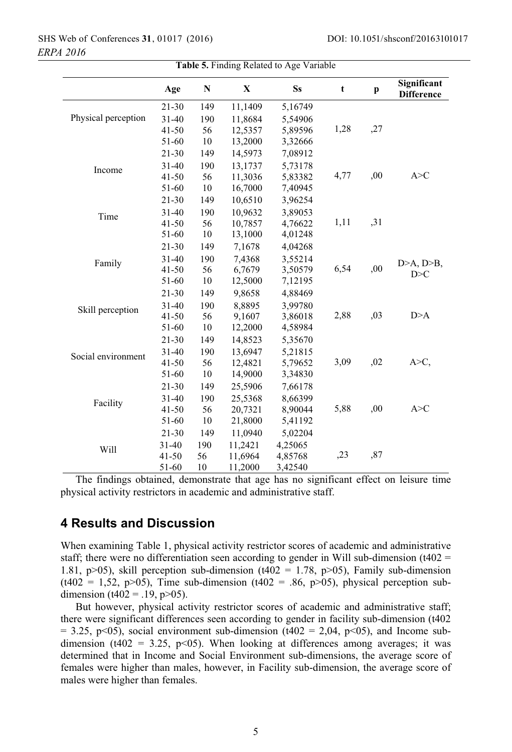|                     | Age       | ${\bf N}$ | $\mathbf X$ | <b>Ss</b> | t    | $\mathbf{p}$ | Significant<br><b>Difference</b> |
|---------------------|-----------|-----------|-------------|-----------|------|--------------|----------------------------------|
|                     | 21-30     | 149       | 11,1409     | 5,16749   |      |              |                                  |
| Physical perception | $31 - 40$ | 190       | 11,8684     | 5,54906   |      |              |                                  |
|                     | $41 - 50$ | 56        | 12,5357     | 5,89596   | 1,28 | ,27          |                                  |
|                     | 51-60     | 10        | 13,2000     | 3,32666   |      |              |                                  |
| Income              | $21 - 30$ | 149       | 14,5973     | 7,08912   |      |              |                                  |
|                     | $31 - 40$ | 190       | 13,1737     | 5,73178   |      |              |                                  |
|                     | $41 - 50$ | 56        | 11,3036     | 5,83382   | 4,77 | ,00          | A > C                            |
|                     | 51-60     | 10        | 16,7000     | 7,40945   |      |              |                                  |
|                     | 21-30     | 149       | 10,6510     | 3,96254   |      |              |                                  |
| Time                | $31 - 40$ | 190       | 10.9632     | 3,89053   |      |              |                                  |
|                     | $41 - 50$ | 56        | 10,7857     | 4,76622   | 1,11 | ,31          |                                  |
|                     | 51-60     | 10        | 13,1000     | 4,01248   |      |              |                                  |
| Family              | 21-30     | 149       | 7,1678      | 4,04268   |      |              |                                  |
|                     | $31 - 40$ | 190       | 7,4368      | 3,55214   |      |              |                                  |
|                     | $41 - 50$ | 56        | 6,7679      | 3,50579   | 6,54 | ,00          | $D>A, D\rightarrow B,$<br>D > C  |
|                     | 51-60     | 10        | 12,5000     | 7,12195   |      |              |                                  |
| Skill perception    | $21 - 30$ | 149       | 9,8658      | 4,88469   |      |              |                                  |
|                     | $31 - 40$ | 190       | 8,8895      | 3,99780   |      |              |                                  |
|                     | $41 - 50$ | 56        | 9,1607      | 3,86018   | 2,88 | ,03          | D>A                              |
|                     | 51-60     | 10        | 12,2000     | 4,58984   |      |              |                                  |
| Social environment  | $21 - 30$ | 149       | 14,8523     | 5,35670   |      |              |                                  |
|                     | $31 - 40$ | 190       | 13,6947     | 5,21815   |      |              |                                  |
|                     | $41 - 50$ | 56        | 12,4821     | 5,79652   | 3,09 | ,02          | А>С,                             |
|                     | 51-60     | $10\,$    | 14,9000     | 3,34830   |      |              |                                  |
| Facility            | 21-30     | 149       | 25,5906     | 7,66178   |      |              |                                  |
|                     | $31 - 40$ | 190       | 25,5368     | 8,66399   |      |              |                                  |
|                     | $41 - 50$ | 56        | 20,7321     | 8,90044   | 5,88 | ,00          | A > C                            |
|                     | 51-60     | 10        | 21,8000     | 5,41192   |      |              |                                  |
|                     | $21 - 30$ | 149       | 11,0940     | 5,02204   |      |              |                                  |
|                     | $31 - 40$ | 190       | 11,2421     | 4,25065   |      |              |                                  |
| Will                | $41 - 50$ | 56        | 11,6964     | 4,85768   | ,23  | ,87          |                                  |
|                     | 51-60     | 10        | 11,2000     | 3,42540   |      |              |                                  |

*2016 ERPA*  SHS Web of Conferences 31, 01017 (2016)

> Table **5.**

The findings obtained, demonstrate that age has no significant effect on leisure time physical activity restrictors in academic and administrative staff.

# **4 Results and Discussion**

When examining Table 1, physical activity restrictor scores of academic and administrative staff; there were no differentiation seen according to gender in Will sub-dimension ( $t402 =$ 1.81, p>05), skill perception sub-dimension (t402 = 1.78, p>05), Family sub-dimension  $(1402 = 1,52, p>05)$ , Time sub-dimension  $(1402 = .86, p>05)$ , physical perception subdimension ( $t402 = .19$ ,  $p > 05$ ).

But however, physical activity restrictor scores of academic and administrative staff; there were significant differences seen according to gender in facility sub-dimension (t402  $=$  3.25, p<05), social environment sub-dimension (t402 = 2,04, p<05), and Income subdimension (t402 = 3.25,  $p<05$ ). When looking at differences among averages; it was determined that in Income and Social Environment sub-dimensions, the average score of females were higher than males, however, in Facility sub-dimension, the average score of males were higher than females.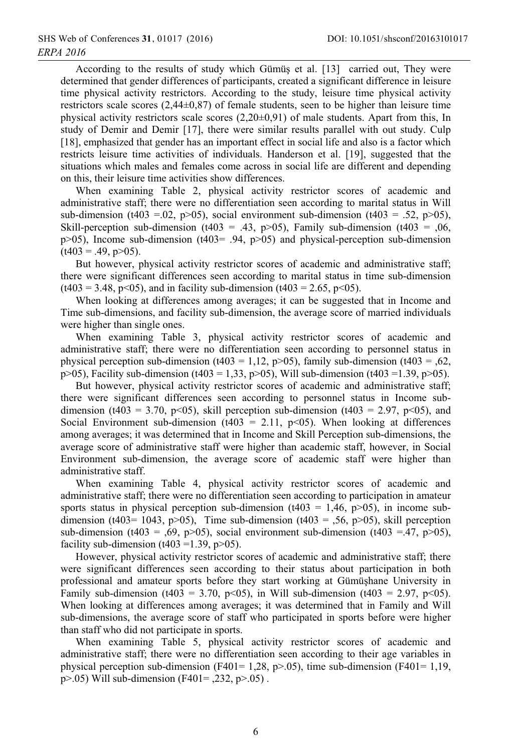According to the results of study which Gümüş et al. [13] carried out, They were determined that gender differences of participants, created a significant difference in leisure time physical activity restrictors. According to the study, leisure time physical activity restrictors scale scores  $(2,44\pm0,87)$  of female students, seen to be higher than leisure time physical activity restrictors scale scores  $(2,20\pm0.91)$  of male students. Apart from this, In study of Demir and Demir [17], there were similar results parallel with out study. Culp [18], emphasized that gender has an important effect in social life and also is a factor which restricts leisure time activities of individuals. Handerson et al. [19], suggested that the situations which males and females come across in social life are different and depending on this, their leisure time activities show differences.

When examining Table 2, physical activity restrictor scores of academic and administrative staff; there were no differentiation seen according to marital status in Will sub-dimension (t403 = 0.02, p>05), social environment sub-dimension (t403 = .52, p>05), Skill-perception sub-dimension (t403 = .43, p>05), Family sub-dimension (t403 = .06,  $p>05$ ), Income sub-dimension (t403= .94,  $p>05$ ) and physical-perception sub-dimension  $(t403 = .49, p>05)$ .

But however, physical activity restrictor scores of academic and administrative staff; there were significant differences seen according to marital status in time sub-dimension  $(t403 = 3.48, p<05)$ , and in facility sub-dimension  $(t403 = 2.65, p<05)$ .

When looking at differences among averages; it can be suggested that in Income and Time sub-dimensions, and facility sub-dimension, the average score of married individuals were higher than single ones.

When examining Table 3, physical activity restrictor scores of academic and administrative staff; there were no differentiation seen according to personnel status in physical perception sub-dimension ( $t403 = 1,12$ ,  $p>05$ ), family sub-dimension ( $t403 = 0.62$ ,  $p>05$ ), Facility sub-dimension (t403 = 1,33, p>05), Will sub-dimension (t403 = 1,39, p>05).

But however, physical activity restrictor scores of academic and administrative staff; there were significant differences seen according to personnel status in Income subdimension (t403 = 3.70, p<05), skill perception sub-dimension (t403 = 2.97, p<05), and Social Environment sub-dimension (t403 = 2.11, p<05). When looking at differences among averages; it was determined that in Income and Skill Perception sub-dimensions, the average score of administrative staff were higher than academic staff, however, in Social Environment sub-dimension, the average score of academic staff were higher than administrative staff.

When examining Table 4, physical activity restrictor scores of academic and administrative staff; there were no differentiation seen according to participation in amateur sports status in physical perception sub-dimension (t403 = 1,46, p>05), in income subdimension (t403= 1043, p>05), Time sub-dimension (t403 = .56, p>05), skill perception sub-dimension (t403 = .69, p>05), social environment sub-dimension (t403 = .47, p>05), facility sub-dimension (t403 = 1.39, p>05).

However, physical activity restrictor scores of academic and administrative staff; there were significant differences seen according to their status about participation in both professional and amateur sports before they start working at Gümüşhane University in Family sub-dimension (t403 = 3.70, p<05), in Will sub-dimension (t403 = 2.97, p<05). When looking at differences among averages; it was determined that in Family and Will sub-dimensions, the average score of staff who participated in sports before were higher than staff who did not participate in sports.

When examining Table 5, physical activity restrictor scores of academic and administrative staff; there were no differentiation seen according to their age variables in physical perception sub-dimension (F401= 1,28, p>.05), time sub-dimension (F401= 1,19,  $p > .05$ ) Will sub-dimension (F401= ,232,  $p > .05$ ).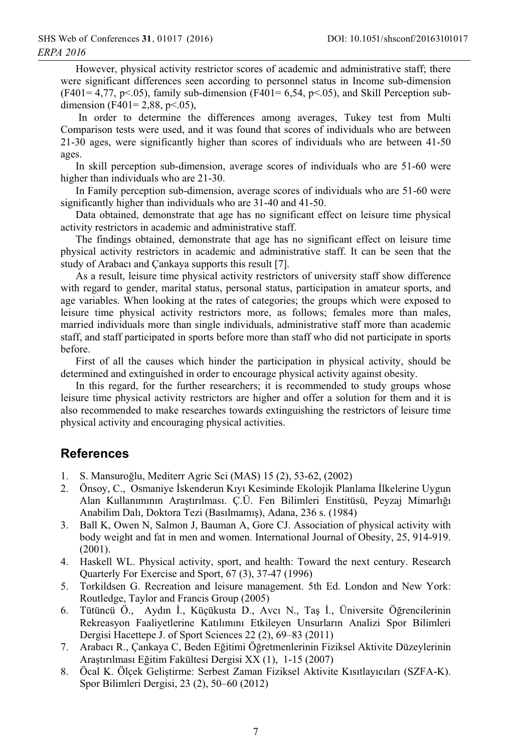However, physical activity restrictor scores of academic and administrative staff; there were significant differences seen according to personnel status in Income sub-dimension  $(F401 = 4.77, p<0.05)$ , family sub-dimension  $(F401 = 6.54, p<0.05)$ , and Skill Perception subdimension (F401= 2,88, p < 0.05),

In order to determine the differences among averages, Tukey test from Multi Comparison tests were used, and it was found that scores of individuals who are between 21-30 ages, were significantly higher than scores of individuals who are between 41-50 ages.

In skill perception sub-dimension, average scores of individuals who are 51-60 were higher than individuals who are 21-30.

In Family perception sub-dimension, average scores of individuals who are 51-60 were significantly higher than individuals who are 31-40 and 41-50.

Data obtained, demonstrate that age has no significant effect on leisure time physical activity restrictors in academic and administrative staff.

The findings obtained, demonstrate that age has no significant effect on leisure time physical activity restrictors in academic and administrative staff. It can be seen that the study of Arabaci and Cankaya supports this result [7].

As a result, leisure time physical activity restrictors of university staff show difference with regard to gender, marital status, personal status, participation in amateur sports, and age variables. When looking at the rates of categories; the groups which were exposed to leisure time physical activity restrictors more, as follows; females more than males, married individuals more than single individuals, administrative staff more than academic staff, and staff participated in sports before more than staff who did not participate in sports before.

First of all the causes which hinder the participation in physical activity, should be determined and extinguished in order to encourage physical activity against obesity.

In this regard, for the further researchers; it is recommended to study groups whose leisure time physical activity restrictors are higher and offer a solution for them and it is also recommended to make researches towards extinguishing the restrictors of leisure time physical activity and encouraging physical activities.

# **References**

- 1. S. Mansuroğlu, Mediterr Agric Sci (MAS) 15 (2), 53-62, (2002)
- 2. Önsoy, C., Osmaniye İskenderun Kıyı Kesiminde Ekolojik Planlama İlkelerine Uygun Alan Kullanımının Arastırılması. C.Ü. Fen Bilimleri Enstitüsü, Peyzaj Mimarlığı Anabilim Dalı, Doktora Tezi (Basılmamış), Adana, 236 s. (1984)
- Ball K, Owen N, Salmon J, Bauman A, Gore CJ. Association of physical activity with  $3.$ body weight and fat in men and women. International Journal of Obesity, 25, 914-919.  $(2001).$
- 4. Haskell WL. Physical activity, sport, and health: Toward the next century. Research Quarterly For Exercise and Sport, 67 (3), 37-47 (1996)
- Torkildsen G. Recreation and leisure management. 5th Ed. London and New York: 5. Routledge, Taylor and Francis Group (2005)
- Tütüncü Ö., Aydın İ., Küçükusta D., Avcı N., Taş İ., Üniversite Öğrencilerinin 6. Rekreasyon Faaliyetlerine Katılımını Etkileyen Unsurların Analizi Spor Bilimleri Dergisi Hacettepe J. of Sport Sciences 22 (2), 69–83 (2011)
- 7. Arabacı R., Çankaya C, Beden Eğitimi Öğretmenlerinin Fiziksel Aktivite Düzeylerinin Araştırılması Eğitim Fakültesi Dergisi XX (1), 1-15 (2007)
- Öcal K. Ölçek Geliştirme: Serbest Zaman Fiziksel Aktivite Kısıtlayıcıları (SZFA-K). 8. Spor Bilimleri Dergisi, 23 (2), 50–60 (2012)